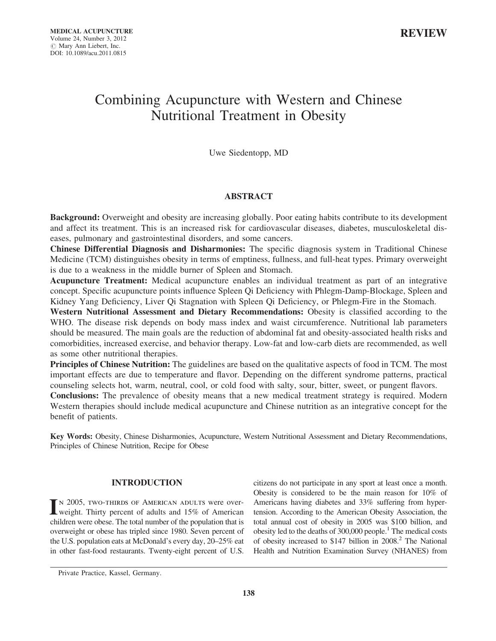# Combining Acupuncture with Western and Chinese Nutritional Treatment in Obesity

Uwe Siedentopp, MD

# ABSTRACT

Background: Overweight and obesity are increasing globally. Poor eating habits contribute to its development and affect its treatment. This is an increased risk for cardiovascular diseases, diabetes, musculoskeletal diseases, pulmonary and gastrointestinal disorders, and some cancers.

Chinese Differential Diagnosis and Disharmonies: The specific diagnosis system in Traditional Chinese Medicine (TCM) distinguishes obesity in terms of emptiness, fullness, and full-heat types. Primary overweight is due to a weakness in the middle burner of Spleen and Stomach.

Acupuncture Treatment: Medical acupuncture enables an individual treatment as part of an integrative concept. Specific acupuncture points influence Spleen Qi Deficiency with Phlegm-Damp-Blockage, Spleen and Kidney Yang Deficiency, Liver Qi Stagnation with Spleen Qi Deficiency, or Phlegm-Fire in the Stomach.

Western Nutritional Assessment and Dietary Recommendations: Obesity is classified according to the WHO. The disease risk depends on body mass index and waist circumference. Nutritional lab parameters should be measured. The main goals are the reduction of abdominal fat and obesity-associated health risks and comorbidities, increased exercise, and behavior therapy. Low-fat and low-carb diets are recommended, as well as some other nutritional therapies.

Principles of Chinese Nutrition: The guidelines are based on the qualitative aspects of food in TCM. The most important effects are due to temperature and flavor. Depending on the different syndrome patterns, practical counseling selects hot, warm, neutral, cool, or cold food with salty, sour, bitter, sweet, or pungent flavors.

Conclusions: The prevalence of obesity means that a new medical treatment strategy is required. Modern Western therapies should include medical acupuncture and Chinese nutrition as an integrative concept for the benefit of patients.

Key Words: Obesity, Chinese Disharmonies, Acupuncture, Western Nutritional Assessment and Dietary Recommendations, Principles of Chinese Nutrition, Recipe for Obese

# INTRODUCTION

IN 2005, TWO-THIRDS OF AMERICAN ADULTS were over-<br>weight. Thirty percent of adults and 15% of American weight. Thirty percent of adults and 15% of American children were obese. The total number of the population that is overweight or obese has tripled since 1980. Seven percent of the U.S. population eats at McDonald's every day, 20–25% eat in other fast-food restaurants. Twenty-eight percent of U.S. citizens do not participate in any sport at least once a month. Obesity is considered to be the main reason for 10% of Americans having diabetes and 33% suffering from hypertension. According to the American Obesity Association, the total annual cost of obesity in 2005 was \$100 billion, and obesity led to the deaths of  $300,000$  people.<sup>1</sup> The medical costs of obesity increased to \$147 billion in 2008.<sup>2</sup> The National Health and Nutrition Examination Survey (NHANES) from

Private Practice, Kassel, Germany.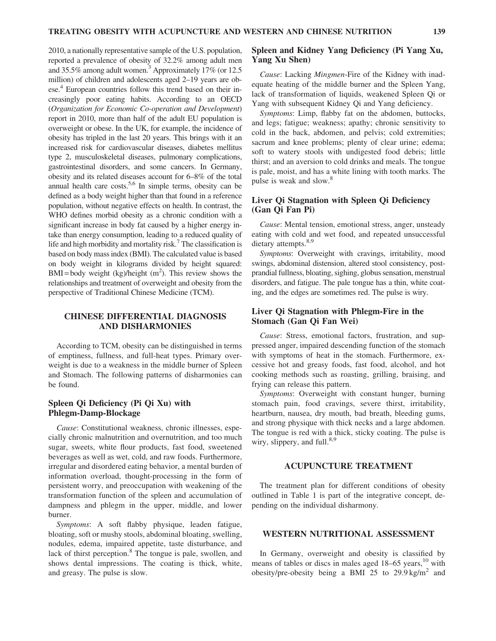2010, a nationally representative sample of the U.S. population, reported a prevalence of obesity of 32.2% among adult men and 35.5% among adult women.<sup>3</sup> Approximately 17% (or 12.5) million) of children and adolescents aged 2–19 years are obese.<sup>4</sup> European countries follow this trend based on their increasingly poor eating habits. According to an OECD (Organization for Economic Co-operation and Development) report in 2010, more than half of the adult EU population is overweight or obese. In the UK, for example, the incidence of obesity has tripled in the last 20 years. This brings with it an increased risk for cardiovascular diseases, diabetes mellitus type 2, musculoskeletal diseases, pulmonary complications, gastrointestinal disorders, and some cancers. In Germany, obesity and its related diseases account for 6–8% of the total annual health care costs.<sup>5,6</sup> In simple terms, obesity can be defined as a body weight higher than that found in a reference population, without negative effects on health. In contrast, the WHO defines morbid obesity as a chronic condition with a significant increase in body fat caused by a higher energy intake than energy consumption, leading to a reduced quality of life and high morbidity and mortality risk.<sup>7</sup> The classification is based on body mass index (BMI). The calculated value is based on body weight in kilograms divided by height squared: BMI = body weight (kg)/height  $(m^2)$ . This review shows the relationships and treatment of overweight and obesity from the perspective of Traditional Chinese Medicine (TCM).

# CHINESE DIFFERENTIAL DIAGNOSIS AND DISHARMONIES

According to TCM, obesity can be distinguished in terms of emptiness, fullness, and full-heat types. Primary overweight is due to a weakness in the middle burner of Spleen and Stomach. The following patterns of disharmonies can be found.

## Spleen Qi Deficiency (Pi Qi Xu) with Phlegm-Damp-Blockage

Cause: Constitutional weakness, chronic illnesses, especially chronic malnutrition and overnutrition, and too much sugar, sweets, white flour products, fast food, sweetened beverages as well as wet, cold, and raw foods. Furthermore, irregular and disordered eating behavior, a mental burden of information overload, thought-processing in the form of persistent worry, and preoccupation with weakening of the transformation function of the spleen and accumulation of dampness and phlegm in the upper, middle, and lower burner.

Symptoms: A soft flabby physique, leaden fatigue, bloating, soft or mushy stools, abdominal bloating, swelling, nodules, edema, impaired appetite, taste disturbance, and lack of thirst perception.<sup>8</sup> The tongue is pale, swollen, and shows dental impressions. The coating is thick, white, and greasy. The pulse is slow.

## Spleen and Kidney Yang Deficiency (Pi Yang Xu, Yang Xu Shen)

Cause: Lacking Mingmen-Fire of the Kidney with inadequate heating of the middle burner and the Spleen Yang, lack of transformation of liquids, weakened Spleen Qi or Yang with subsequent Kidney Qi and Yang deficiency.

Symptoms: Limp, flabby fat on the abdomen, buttocks, and legs; fatigue; weakness; apathy; chronic sensitivity to cold in the back, abdomen, and pelvis; cold extremities; sacrum and knee problems; plenty of clear urine; edema; soft to watery stools with undigested food debris; little thirst; and an aversion to cold drinks and meals. The tongue is pale, moist, and has a white lining with tooth marks. The pulse is weak and slow.<sup>8</sup>

# Liver Qi Stagnation with Spleen Qi Deficiency (Gan Qi Fan Pi)

Cause: Mental tension, emotional stress, anger, unsteady eating with cold and wet food, and repeated unsuccessful dietary attempts.<sup>8,9</sup>

Symptoms: Overweight with cravings, irritability, mood swings, abdominal distension, altered stool consistency, postprandial fullness, bloating, sighing, globus sensation, menstrual disorders, and fatigue. The pale tongue has a thin, white coating, and the edges are sometimes red. The pulse is wiry.

## Liver Qi Stagnation with Phlegm-Fire in the Stomach (Gan Qi Fan Wei)

Cause: Stress, emotional factors, frustration, and suppressed anger, impaired descending function of the stomach with symptoms of heat in the stomach. Furthermore, excessive hot and greasy foods, fast food, alcohol, and hot cooking methods such as roasting, grilling, braising, and frying can release this pattern.

Symptoms: Overweight with constant hunger, burning stomach pain, food cravings, severe thirst, irritability, heartburn, nausea, dry mouth, bad breath, bleeding gums, and strong physique with thick necks and a large abdomen. The tongue is red with a thick, sticky coating. The pulse is wiry, slippery, and full. $8,9$ 

## ACUPUNCTURE TREATMENT

The treatment plan for different conditions of obesity outlined in Table 1 is part of the integrative concept, depending on the individual disharmony.

#### WESTERN NUTRITIONAL ASSESSMENT

In Germany, overweight and obesity is classified by means of tables or discs in males aged  $18-65$  years,  $10$  with obesity/pre-obesity being a BMI 25 to 29.9 kg/m<sup>2</sup> and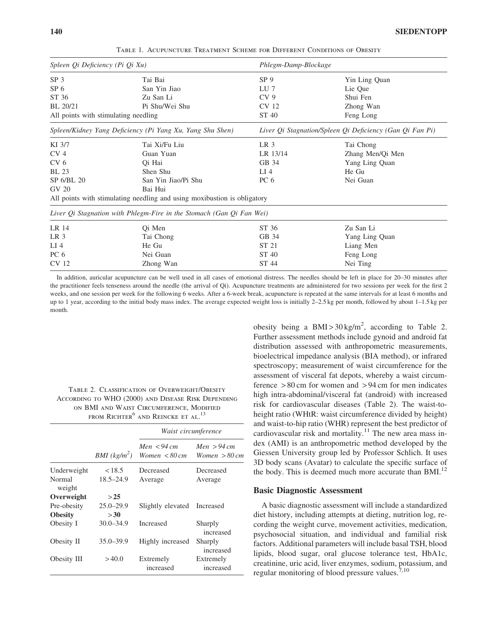| Spleen Qi Deficiency (Pi Qi Xu)                                                                 |                                                                                                                                                                | Phlegm-Damp-Blockage                                                    |                                                                      |  |  |
|-------------------------------------------------------------------------------------------------|----------------------------------------------------------------------------------------------------------------------------------------------------------------|-------------------------------------------------------------------------|----------------------------------------------------------------------|--|--|
| SP <sub>3</sub><br>SP <sub>6</sub><br>ST 36<br>BL 20/21<br>All points with stimulating needling | Tai Bai<br>San Yin Jiao<br>Zu San Li<br>Pi Shu/Wei Shu                                                                                                         | SP <sub>9</sub><br>LU <sub>7</sub><br>CV <sub>9</sub><br>CV 12<br>ST 40 | Yin Ling Quan<br>Lie Que<br>Shui Fen<br>Zhong Wan<br>Feng Long       |  |  |
| Spleen/Kidney Yang Deficiency (Pi Yang Xu, Yang Shu Shen)                                       |                                                                                                                                                                | Liver Qi Stagnation/Spleen Qi Deficiency (Gan Qi Fan Pi)                |                                                                      |  |  |
| KI 3/7<br>CV <sub>4</sub><br>CV <sub>6</sub><br><b>BL</b> 23<br>SP 6/BL 20<br><b>GV 20</b>      | Tai Xi/Fu Liu<br>Guan Yuan<br>Qi Hai<br>Shen Shu<br>San Yin Jiao/Pi Shu<br>Bai Hui<br>All points with stimulating needling and using moxibustion is obligatory | LR <sub>3</sub><br>LR 13/14<br>GB 34<br>$LI$ 4<br>PC 6                  | Tai Chong<br>Zhang Men/Qi Men<br>Yang Ling Quan<br>He Gu<br>Nei Guan |  |  |
| Liver Qi Stagnation with Phlegm-Fire in the Stomach (Gan Qi Fan Wei)                            |                                                                                                                                                                |                                                                         |                                                                      |  |  |
| LR 14<br>LR <sub>3</sub><br>$LI$ 4<br>PC 6<br>CV 12                                             | Qi Men<br>Tai Chong<br>He Gu<br>Nei Guan<br>Zhong Wan                                                                                                          | ST 36<br>GB 34<br>ST 21<br>ST 40<br>ST 44                               | Zu San Li<br>Yang Ling Quan<br>Liang Men<br>Feng Long<br>Nei Ting    |  |  |

TABLE 1. ACUPUNCTURE TREATMENT SCHEME FOR DIFFERENT CONDITIONS OF OBESITY

In addition, auricular acupuncture can be well used in all cases of emotional distress. The needles should be left in place for 20–30 minutes after the practitioner feels tenseness around the needle (the arrival of Qi). Acupuncture treatments are administered for two sessions per week for the first 2 weeks, and one session per week for the following 6 weeks. After a 6-week break, acupuncture is repeated at the same intervals for at least 6 months and up to 1 year, according to the initial body mass index. The average expected weight loss is initially 2–2.5 kg per month, followed by about 1–1.5 kg per month.

Table 2. Classification of Overweight/Obesity According to WHO (2000) and Disease Risk Depending on BMI and Waist Circumference, Modified FROM RICHTER<sup>6</sup> AND REINCKE ET AL.<sup>13</sup>

|                  |                | Waist circumference              |                               |
|------------------|----------------|----------------------------------|-------------------------------|
|                  | BMI $(kg/m^2)$ | Men < 94 cm<br>Women $\lt$ 80 cm | Men > 94 cm<br>Women $>80$ cm |
| Underweight      | < 18.5         | Decreased                        | Decreased                     |
| Normal<br>weight | $18.5 - 24.9$  | Average                          | Average                       |
| Overweight       | >25            |                                  |                               |
| Pre-obesity      | $25.0 - 29.9$  | Slightly elevated Increased      |                               |
| <b>Obesity</b>   | > 30           |                                  |                               |
| Obesity I        | $30.0 - 34.9$  | Increased                        | Sharply<br>increased          |
| Obesity II       | $35.0 - 39.9$  | Highly increased                 | Sharply<br>increased          |
| Obesity III      | >40.0          | Extremely<br>increased           | Extremely<br>increased        |

obesity being a BMI >  $30 \text{ kg/m}^2$ , according to Table 2. Further assessment methods include gynoid and android fat distribution assessed with anthropometric measurements, bioelectrical impedance analysis (BIA method), or infrared spectroscopy; measurement of waist circumference for the assessment of visceral fat depots, whereby a waist circumference  $> 80$  cm for women and  $> 94$  cm for men indicates high intra-abdominal/visceral fat (android) with increased risk for cardiovascular diseases (Table 2). The waist-toheight ratio (WHtR: waist circumference divided by height) and waist-to-hip ratio (WHR) represent the best predictor of cardiovascular risk and mortality.<sup>11</sup> The new area mass index (AMI) is an anthropometric method developed by the Giessen University group led by Professor Schlich. It uses 3D body scans (Avatar) to calculate the specific surface of the body. This is deemed much more accurate than BMI.<sup>12</sup>

#### Basic Diagnostic Assessment

A basic diagnostic assessment will include a standardized diet history, including attempts at dieting, nutrition log, recording the weight curve, movement activities, medication, psychosocial situation, and individual and familial risk factors. Additional parameters will include basal TSH, blood lipids, blood sugar, oral glucose tolerance test, HbA1c, creatinine, uric acid, liver enzymes, sodium, potassium, and regular monitoring of blood pressure values.<sup>7,10</sup>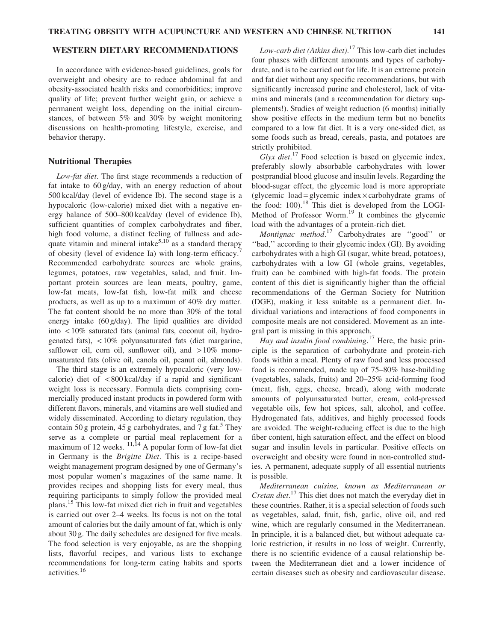## WESTERN DIETARY RECOMMENDATIONS

In accordance with evidence-based guidelines, goals for overweight and obesity are to reduce abdominal fat and obesity-associated health risks and comorbidities; improve quality of life; prevent further weight gain, or achieve a permanent weight loss, depending on the initial circumstances, of between 5% and 30% by weight monitoring discussions on health-promoting lifestyle, exercise, and behavior therapy.

## Nutritional Therapies

Low-fat diet. The first stage recommends a reduction of fat intake to 60 g/day, with an energy reduction of about 500 kcal/day (level of evidence Ib). The second stage is a hypocaloric (low-calorie) mixed diet with a negative energy balance of 500–800 kcal/day (level of evidence Ib), sufficient quantities of complex carbohydrates and fiber, high food volume, a distinct feeling of fullness and adequate vitamin and mineral intake<sup>5,10</sup> as a standard therapy of obesity (level of evidence Ia) with long-term efficacy.<sup>7</sup> Recommended carbohydrate sources are whole grains, legumes, potatoes, raw vegetables, salad, and fruit. Important protein sources are lean meats, poultry, game, low-fat meats, low-fat fish, low-fat milk and cheese products, as well as up to a maximum of 40% dry matter. The fat content should be no more than 30% of the total energy intake (60 g/day). The lipid qualities are divided into < 10% saturated fats (animal fats, coconut oil, hydrogenated fats), < 10% polyunsaturated fats (diet margarine, safflower oil, corn oil, sunflower oil), and  $>10\%$  monounsaturated fats (olive oil, canola oil, peanut oil, almonds).

The third stage is an extremely hypocaloric (very lowcalorie) diet of < 800 kcal/day if a rapid and significant weight loss is necessary. Formula diets comprising commercially produced instant products in powdered form with different flavors, minerals, and vitamins are well studied and widely disseminated. According to dietary regulation, they contain 50 g protein, 45 g carbohydrates, and 7 g fat.<sup>5</sup> They serve as a complete or partial meal replacement for a maximum of 12 weeks.  $\frac{11,14}{9}$  A popular form of low-fat diet in Germany is the Brigitte Diet. This is a recipe-based weight management program designed by one of Germany's most popular women's magazines of the same name. It provides recipes and shopping lists for every meal, thus requiring participants to simply follow the provided meal plans.<sup>15</sup> This low-fat mixed diet rich in fruit and vegetables is carried out over 2–4 weeks. Its focus is not on the total amount of calories but the daily amount of fat, which is only about 30 g. The daily schedules are designed for five meals. The food selection is very enjoyable, as are the shopping lists, flavorful recipes, and various lists to exchange recommendations for long-term eating habits and sports activities.<sup>16</sup>

Low-carb diet (Atkins diet).<sup>17</sup> This low-carb diet includes four phases with different amounts and types of carbohydrate, and is to be carried out for life. It is an extreme protein and fat diet without any specific recommendations, but with significantly increased purine and cholesterol, lack of vitamins and minerals (and a recommendation for dietary supplements!). Studies of weight reduction (6 months) initially show positive effects in the medium term but no benefits compared to a low fat diet. It is a very one-sided diet, as some foods such as bread, cereals, pasta, and potatoes are strictly prohibited.

 $Glyx$  diet.<sup>17</sup> Food selection is based on glycemic index, preferably slowly absorbable carbohydrates with lower postprandial blood glucose and insulin levels. Regarding the blood-sugar effect, the glycemic load is more appropriate (glycemic load = glycemic index  $\times$  carbohydrate grams of the food:  $100$ ).<sup>18</sup> This diet is developed from the LOGI-Method of Professor Worm.<sup>19</sup> It combines the glycemic load with the advantages of a protein-rich diet.

Montignac method.<sup>17</sup> Carbohydrates are "good" or "bad," according to their glycemic index (GI). By avoiding carbohydrates with a high GI (sugar, white bread, potatoes), carbohydrates with a low GI (whole grains, vegetables, fruit) can be combined with high-fat foods. The protein content of this diet is significantly higher than the official recommendations of the German Society for Nutrition (DGE), making it less suitable as a permanent diet. Individual variations and interactions of food components in composite meals are not considered. Movement as an integral part is missing in this approach.

Hay and insulin food combining.<sup>17</sup> Here, the basic principle is the separation of carbohydrate and protein-rich foods within a meal. Plenty of raw food and less processed food is recommended, made up of 75–80% base-building (vegetables, salads, fruits) and 20–25% acid-forming food (meat, fish, eggs, cheese, bread), along with moderate amounts of polyunsaturated butter, cream, cold-pressed vegetable oils, few hot spices, salt, alcohol, and coffee. Hydrogenated fats, additives, and highly processed foods are avoided. The weight-reducing effect is due to the high fiber content, high saturation effect, and the effect on blood sugar and insulin levels in particular. Positive effects on overweight and obesity were found in non-controlled studies. A permanent, adequate supply of all essential nutrients is possible.

Mediterranean cuisine, known as Mediterranean or Cretan diet.<sup>17</sup> This diet does not match the everyday diet in these countries. Rather, it is a special selection of foods such as vegetables, salad, fruit, fish, garlic, olive oil, and red wine, which are regularly consumed in the Mediterranean. In principle, it is a balanced diet, but without adequate caloric restriction, it results in no loss of weight. Currently, there is no scientific evidence of a causal relationship between the Mediterranean diet and a lower incidence of certain diseases such as obesity and cardiovascular disease.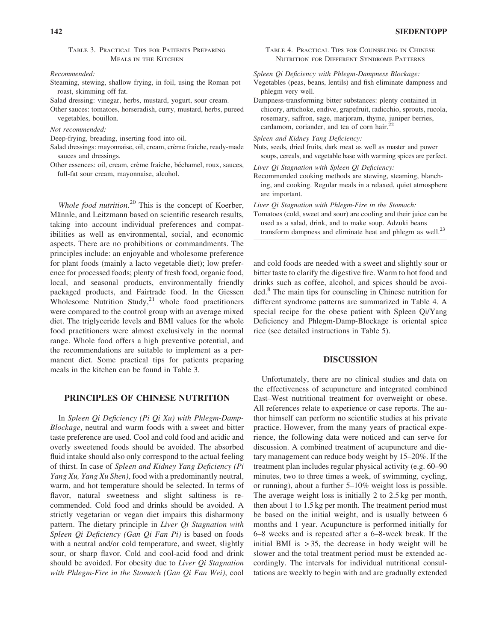#### Table 3. Practical Tips for Patients Preparing Meals in the Kitchen

Recommended:

Steaming, stewing, shallow frying, in foil, using the Roman pot roast, skimming off fat.

Salad dressing: vinegar, herbs, mustard, yogurt, sour cream.

Other sauces: tomatoes, horseradish, curry, mustard, herbs, pureed vegetables, bouillon.

Not recommended:

Deep-frying, breading, inserting food into oil.

Salad dressings: mayonnaise, oil, cream, crème fraiche, ready-made sauces and dressings.

Other essences: oil, cream, crème fraiche, béchamel, roux, sauces, full-fat sour cream, mayonnaise, alcohol.

Whole food nutrition.<sup>20</sup> This is the concept of Koerber, Männle, and Leitzmann based on scientific research results, taking into account individual preferences and compatibilities as well as environmental, social, and economic aspects. There are no prohibitions or commandments. The principles include: an enjoyable and wholesome preference for plant foods (mainly a lacto vegetable diet); low preference for processed foods; plenty of fresh food, organic food, local, and seasonal products, environmentally friendly packaged products, and Fairtrade food. In the Giessen Wholesome Nutrition Study, $21$  whole food practitioners were compared to the control group with an average mixed diet. The triglyceride levels and BMI values for the whole food practitioners were almost exclusively in the normal range. Whole food offers a high preventive potential, and the recommendations are suitable to implement as a permanent diet. Some practical tips for patients preparing meals in the kitchen can be found in Table 3.

## PRINCIPLES OF CHINESE NUTRITION

In Spleen Qi Deficiency (Pi Qi Xu) with Phlegm-Damp-Blockage, neutral and warm foods with a sweet and bitter taste preference are used. Cool and cold food and acidic and overly sweetened foods should be avoided. The absorbed fluid intake should also only correspond to the actual feeling of thirst. In case of Spleen and Kidney Yang Deficiency (Pi Yang Xu, Yang Xu Shen), food with a predominantly neutral, warm, and hot temperature should be selected. In terms of flavor, natural sweetness and slight saltiness is recommended. Cold food and drinks should be avoided. A strictly vegetarian or vegan diet impairs this disharmony pattern. The dietary principle in Liver Qi Stagnation with Spleen Qi Deficiency (Gan Qi Fan Pi) is based on foods with a neutral and/or cold temperature, and sweet, slightly sour, or sharp flavor. Cold and cool-acid food and drink should be avoided. For obesity due to *Liver Qi Stagnation* with Phlegm-Fire in the Stomach (Gan Qi Fan Wei), cool Table 4. Practical Tips for Counseling in Chinese Nutrition for Different Syndrome Patterns

Spleen Qi Deficiency with Phlegm-Dampness Blockage:

Vegetables (peas, beans, lentils) and fish eliminate dampness and phlegm very well.

Dampness-transforming bitter substances: plenty contained in chicory, artichoke, endive, grapefruit, radicchio, sprouts, rucola, rosemary, saffron, sage, marjoram, thyme, juniper berries, cardamom, coriander, and tea of corn hair.<sup>22</sup>

Spleen and Kidney Yang Deficiency:

Nuts, seeds, dried fruits, dark meat as well as master and power soups, cereals, and vegetable base with warming spices are perfect.

Liver Qi Stagnation with Spleen Qi Deficiency:

Recommended cooking methods are stewing, steaming, blanching, and cooking. Regular meals in a relaxed, quiet atmosphere are important.

Liver Qi Stagnation with Phlegm-Fire in the Stomach:

Tomatoes (cold, sweet and sour) are cooling and their juice can be used as a salad, drink, and to make soup. Adzuki beans transform dampness and eliminate heat and phlegm as well.<sup>23</sup>

and cold foods are needed with a sweet and slightly sour or bitter taste to clarify the digestive fire. Warm to hot food and drinks such as coffee, alcohol, and spices should be avoided.8 The main tips for counseling in Chinese nutrition for different syndrome patterns are summarized in Table 4. A special recipe for the obese patient with Spleen Qi/Yang Deficiency and Phlegm-Damp-Blockage is oriental spice rice (see detailed instructions in Table 5).

#### DISCUSSION

Unfortunately, there are no clinical studies and data on the effectiveness of acupuncture and integrated combined East–West nutritional treatment for overweight or obese. All references relate to experience or case reports. The author himself can perform no scientific studies at his private practice. However, from the many years of practical experience, the following data were noticed and can serve for discussion. A combined treatment of acupuncture and dietary management can reduce body weight by 15–20%. If the treatment plan includes regular physical activity (e.g. 60–90 minutes, two to three times a week, of swimming, cycling, or running), about a further 5–10% weight loss is possible. The average weight loss is initially 2 to 2.5 kg per month, then about 1 to 1.5 kg per month. The treatment period must be based on the initial weight, and is usually between 6 months and 1 year. Acupuncture is performed initially for 6–8 weeks and is repeated after a 6–8-week break. If the initial BMI is  $> 35$ , the decrease in body weight will be slower and the total treatment period must be extended accordingly. The intervals for individual nutritional consultations are weekly to begin with and are gradually extended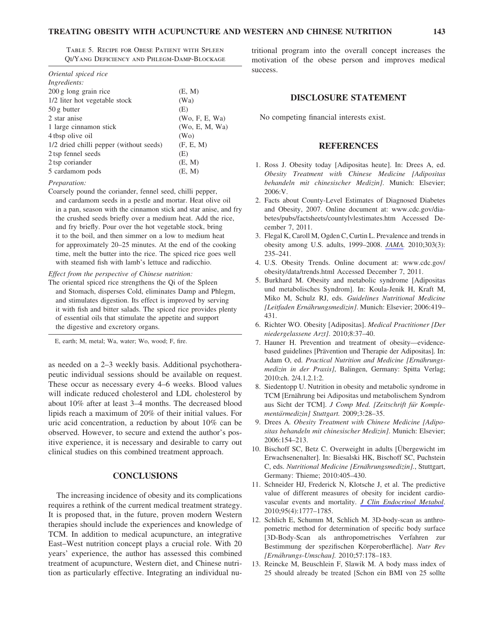Table 5. Recipe for Obese Patient with Spleen Qi/Yang Deficiency and Phlegm-Damp-Blockage

| Oriental spiced rice                    |                             |
|-----------------------------------------|-----------------------------|
| Ingredients:                            |                             |
| 200 g long grain rice                   | (E, M)                      |
| 1/2 liter hot vegetable stock           | (Wa)                        |
| $50 g$ butter                           | (E)                         |
| 2 star anise                            | (W <sub>0</sub> , F, E, Wa) |
| 1 large cinnamon stick                  | (W <sub>0</sub> , E, M, Wa) |
| 4 tbsp olive oil                        | (W <sub>0</sub> )           |
| 1/2 dried chilli pepper (without seeds) | (F, E, M)                   |
| 2 tsp fennel seeds                      | (E)                         |
| 2 tsp coriander                         | (E, M)                      |
| 5 cardamom pods                         | (E, M)                      |

#### Preparation:

Coarsely pound the coriander, fennel seed, chilli pepper, and cardamom seeds in a pestle and mortar. Heat olive oil in a pan, season with the cinnamon stick and star anise, and fry the crushed seeds briefly over a medium heat. Add the rice, and fry briefly. Pour over the hot vegetable stock, bring it to the boil, and then simmer on a low to medium heat for approximately 20–25 minutes. At the end of the cooking time, melt the butter into the rice. The spiced rice goes well with steamed fish with lamb's lettuce and radicchio.

#### Effect from the perspective of Chinese nutrition:

The oriental spiced rice strengthens the Qi of the Spleen and Stomach, disperses Cold, eliminates Damp and Phlegm, and stimulates digestion. Its effect is improved by serving it with fish and bitter salads. The spiced rice provides plenty of essential oils that stimulate the appetite and support the digestive and excretory organs.

E, earth; M, metal; Wa, water; Wo, wood; F, fire.

as needed on a 2–3 weekly basis. Additional psychotherapeutic individual sessions should be available on request. These occur as necessary every 4–6 weeks. Blood values will indicate reduced cholesterol and LDL cholesterol by about 10% after at least 3–4 months. The decreased blood lipids reach a maximum of 20% of their initial values. For uric acid concentration, a reduction by about 10% can be observed. However, to secure and extend the author's positive experience, it is necessary and desirable to carry out clinical studies on this combined treatment approach.

## **CONCLUSIONS**

The increasing incidence of obesity and its complications requires a rethink of the current medical treatment strategy. It is proposed that, in the future, proven modern Western therapies should include the experiences and knowledge of TCM. In addition to medical acupuncture, an integrative East–West nutrition concept plays a crucial role. With 20 years' experience, the author has assessed this combined treatment of acupuncture, Western diet, and Chinese nutrition as particularly effective. Integrating an individual nutritional program into the overall concept increases the motivation of the obese person and improves medical success.

## DISCLOSURE STATEMENT

No competing financial interests exist.

#### **REFERENCES**

- 1. Ross J. Obesity today [Adipositas heute]. In: Drees A, ed. Obesity Treatment with Chinese Medicine [Adipositas behandeln mit chinesischer Medizin]. Munich: Elsevier; 2006:V.
- 2. Facts about County-Level Estimates of Diagnosed Diabetes and Obesity, 2007. Online document at: www.cdc.gov/diabetes/pubs/factsheets/countylvlestimates.htm Accessed December 7, 2011.
- 3. Flegal K, Caroll M, Ogden C, Curtin L. Prevalence and trends in obesity among U.S. adults, 1999–2008. JAMA. 2010;303(3): 235–241.
- 4. U.S. Obesity Trends. Online document at: www.cdc.gov/ obesity/data/trends.html Accessed December 7, 2011.
- 5. Burkhard M. Obesity and metabolic syndrome [Adipositas und metabolisches Syndrom]. In: Koula-Jenik H, Kraft M, Miko M, Schulz RJ, eds. Guidelines Nutritional Medicine [Leitfaden Ernährungsmedizin]. Munich: Elsevier; 2006:419-431.
- 6. Richter WO. Obesity [Adipositas]. Medical Practitioner [Der niedergelassene Arzt]. 2010;8:37–40.
- 7. Hauner H. Prevention and treatment of obesity—evidencebased guidelines [Prävention und Therapie der Adipositas]. In: Adam O, ed. Practical Nutrition and Medicine [Ernährungsmedizin in der Praxis], Balingen, Germany: Spitta Verlag; 2010:ch. 2/4.1.2.1:2.
- 8. Siedentopp U. Nutrition in obesity and metabolic syndrome in TCM [Ernährung bei Adipositas und metabolischem Syndrom aus Sicht der TCM]. J Comp Med. [Zeitschrift für Komplementärmedizin] Stuttgart. 2009;3:28-35.
- 9. Drees A. Obesity Treatment with Chinese Medicine [Adipositas behandeln mit chinesischer Medizin]. Munich: Elsevier; 2006:154–213.
- 10. Bischoff SC, Betz C. Overweight in adults [Übergewicht im Erwachsenenalter]. In: Biesalski HK, Bischoff SC, Puchstein C, eds. Nutritional Medicine [Ernährungsmedizin]., Stuttgart, Germany: Thieme; 2010:405–430.
- 11. Schneider HJ, Frederick N, Klotsche J, et al. The predictive value of different measures of obesity for incident cardiovascular events and mortality. J Clin Endocrinol Metabol. 2010;95(4):1777–1785.
- 12. Schlich E, Schumm M, Schlich M. 3D-body-scan as anthropometric method for determination of specific body surface [3D-Body-Scan als anthropometrisches Verfahren zur Bestimmung der spezifischen Körperoberfläche]. Nutr Rev [Ernährungs-Umschau]. 2010;57:178-183.
- 13. Reincke M, Beuschlein F, Slawik M. A body mass index of 25 should already be treated [Schon ein BMI von 25 sollte